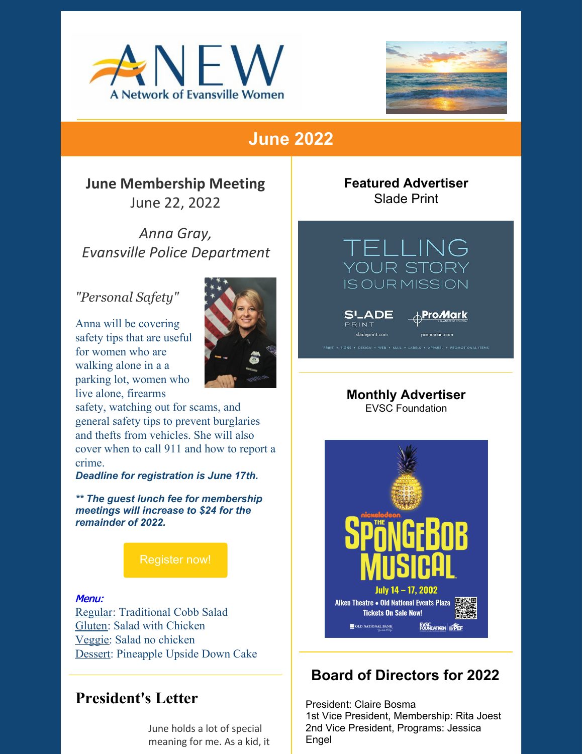



# **June 2022**

**June Membership Meeting** June 22, 2022

*Anna Gray, Evansville Police Department*

#### *"Personal Safety"*

Anna will be covering safety tips that are useful for women who are walking alone in a a parking lot, women who live alone, firearms



safety, watching out for scams, and general safety tips to prevent burglaries and thefts from vehicles. She will also cover when to call 911 and how to report a crime.

*Deadline for registration is June 17th.*

*\*\* The guest lunch fee for membership meetings will increase to \$24 for the remainder of 2022.*

[Register](https://evansvilleanew.org/events/personal-safety) now!

#### Menu:

Regular: Traditional Cobb Salad Gluten: Salad with Chicken Veggie: Salad no chicken Dessert: Pineapple Upside Down Cake

## **President's Letter**

June holds a lot of special meaning for me. As a kid, it **Featured Advertiser** Slade Print



**S'\_ADE** PRINT

<sub>⋔</sub>Pro*M*ark

#### **Monthly Advertiser** EVSC Foundation



## **Board of Directors for 2022**

President: Claire Bosma 1st Vice President, Membership: Rita Joest 2nd Vice President, Programs: Jessica Engel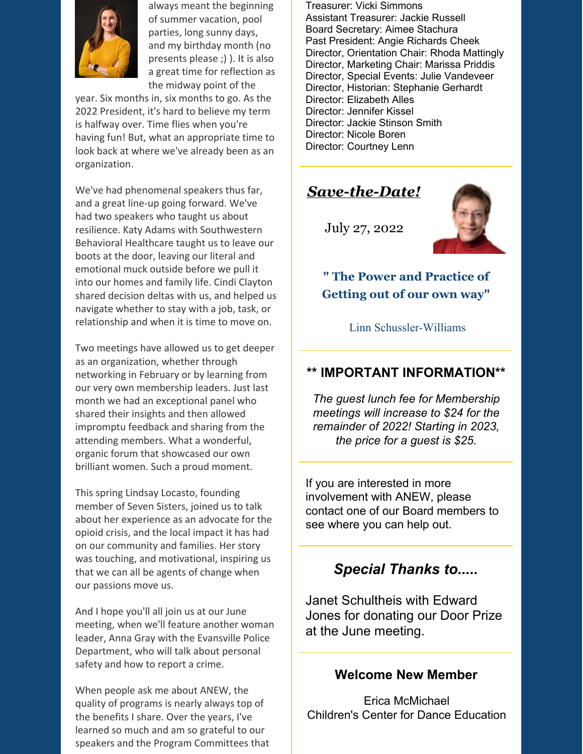

always meant the beginning of summer vacation, pool parties, long sunny days, and my birthday month (no presents please ;) ). It is also a great time for reflection as the midway point of the

year. Six months in, six months to go. As the 2022 President, it's hard to believe my term is halfway over. Time flies when you're having fun! But, what an appropriate time to look back at where we've already been as an organization.

We've had phenomenal speakers thus far, and a great line-up going forward. We've had two speakers who taught us about resilience. Katy Adams with Southwestern Behavioral Healthcare taught us to leave our boots at the door, leaving our literal and emotional muck outside before we pull it into our homes and family life. Cindi Clayton shared decision deltas with us, and helped us navigate whether to stay with a job, task, or relationship and when it is time to move on.

Two meetings have allowed us to get deeper as an organization, whether through networking in February or by learning from our very own membership leaders. Just last month we had an exceptional panel who shared their insights and then allowed impromptu feedback and sharing from the attending members. What a wonderful, organic forum that showcased our own brilliant women. Such a proud moment.

This spring Lindsay Locasto, founding member of Seven Sisters, joined us to talk about her experience as an advocate for the opioid crisis, and the local impact it has had on our community and families. Her story was touching, and motivational, inspiring us that we can all be agents of change when our passions move us.

And I hope you'll all join us at our June meeting, when we'll feature another woman leader, Anna Gray with the Evansville Police Department, who will talk about personal safety and how to report a crime.

When people ask me about ANEW, the quality of programs is nearly always top of the benefits I share. Over the years, I've learned so much and am so grateful to our speakers and the Program Committees that

Treasurer: Vicki Simmons Assistant Treasurer: Jackie Russell Board Secretary: Aimee Stachura Past President: Angie Richards Cheek Director, Orientation Chair: Rhoda Mattingly Director, Marketing Chair: Marissa Priddis Director, Special Events: Julie Vandeveer Director, Historian: Stephanie Gerhardt Director: Elizabeth Alles Director: Jennifer Kissel Director: Jackie Stinson Smith Director: Nicole Boren Director: Courtney Lenn

## *Save-the-Date!*

July 27, 2022



**" The Power and Practice of Getting out of our own way"**

Linn Schussler-Williams

#### **\*\* IMPORTANT INFORMATION\*\***

*The guest lunch fee for Membership meetings will increase to \$24 for the remainder of 2022! Starting in 2023, the price for a guest is \$25.*

If you are interested in more involvement with ANEW, please contact one of our Board members to see where you can help out.

### *Special Thanks to.....*

Janet Schultheis with Edward Jones for donating our Door Prize at the June meeting.

#### **Welcome New Member**

Erica McMichael Children's Center for Dance Education